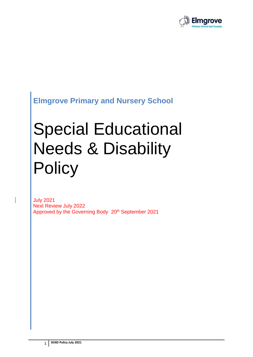

# **Elmgrove Primary and Nursery School**

# Special Educational Needs & Disability **Policy**

July 2021 Next Review July 2022 Approved by the Governing Body 20<sup>th</sup> September 2021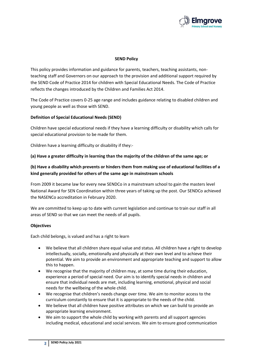

# **SEND Policy**

This policy provides information and guidance for parents, teachers, teaching assistants, nonteaching staff and Governors on our approach to the provision and additional support required by the SEND Code of Practice 2014 for children with Special Educational Needs. The Code of Practice reflects the changes introduced by the Children and Families Act 2014.

The Code of Practice covers 0-25 age range and includes guidance relating to disabled children and young people as well as those with SEND.

# **Definition of Special Educational Needs (SEND)**

Children have special educational needs if they have a learning difficulty or disability which calls for special educational provision to be made for them.

Children have a learning difficulty or disability if they:-

# **(a) Have a greater difficulty in learning than the majority of the children of the same age; or**

# **(b) Have a disability which prevents or hinders them from making use of educational facilities of a kind generally provided for others of the same age in mainstream schools**

From 2009 it became law for every new SENDCo in a mainstream school to gain the masters level National Award for SEN Coordination within three years of taking up the post. Our SENDCo achieved the NASENCo accreditation in February 2020.

We are committed to keep up to date with current legislation and continue to train our staff in all areas of SEND so that we can meet the needs of all pupils.

# **Objectives**

Each child belongs, is valued and has a right to learn

- We believe that all children share equal value and status. All children have a right to develop intellectually, socially, emotionally and physically at their own level and to achieve their potential. We aim to provide an environment and appropriate teaching and support to allow this to happen.
- We recognise that the majority of children may, at some time during their education, experience a period of special need. Our aim is to identify special needs in children and ensure that individual needs are met, including learning, emotional, physical and social needs for the wellbeing of the whole child.
- We recognise that children's needs change over time. We aim to monitor access to the curriculum constantly to ensure that it is appropriate to the needs of the child.
- We believe that all children have positive attributes on which we can build to provide an appropriate learning environment.
- We aim to support the whole child by working with parents and all support agencies including medical, educational and social services. We aim to ensure good communication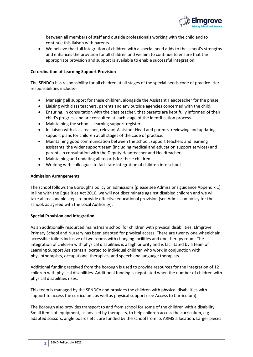

between all members of staff and outside professionals working with the child and to continue this liaison with parents.

• We believe that full integration of children with a special need adds to the school's strengths and enhances the provision for all children and we aim to continue to ensure that the appropriate provision and support is available to enable successful integration.

# **Co-ordination of Learning Support Provision**

The SENDCo has responsibility for all children at all stages of the special needs code of practice. Her responsibilities include:-

- Managing all support for these children, alongside the Assistant Headteacher for the phase.
- Liaising with class teachers, parents and any outside agencies concerned with the child.
- Ensuring, in consultation with the class teacher, that parents are kept fully informed of their child's progress and are consulted at each stage of the identification process.
- Maintaining the school's learning support register.
- In liaison with class teacher, relevant Assistant Head and parents, reviewing and updating support plans for children at all stages of the code of practice.
- Maintaining good communication between the school, support teachers and learning assistants, the wider support team (including medical and education support services) and parents in consultation with the Deputy Headteacher and Headteacher.
- Maintaining and updating all records for these children.
- Working with colleagues to facilitate integration of children into school.

# **Admission Arrangements**

The school follows the Borough's policy on admissions (please see Admissions guidance Appendix 1). In line with the Equalities Act 2010, we will not discriminate against disabled children and we will take all reasonable steps to provide effective educational provision (see Admission policy for the school, as agreed with the Local Authority).

# **Special Provision and Integration**

As an additionally resourced mainstream school for children with physical disabilities, Elmgrove Primary School and Nursery has been adapted for physical access. There are twenty one wheelchair accessible toilets inclusive of two rooms with changing facilities and one therapy room. The integration of children with physical disabilities is a high priority and is facilitated by a team of Learning Support Assistants allocated to individual children who work in conjunction with physiotherapists, occupational therapists, and speech and language therapists.

Additional funding received from the borough is used to provide resources for the integration of 12 children with physical disabilities. Additional funding is negotiated when the number of children with physical disabilities rises.

This team is managed by the SENDCo and provides the children with physical disabilities with support to access the curriculum, as well as physical support (see Access to Curriculum).

The Borough also provides transport to and from school for some of the children with a disability. Small items of equipment, as advised by therapists, to help children access the curriculum, e.g. adapted scissors, angle boards etc., are funded by the school from its ARMS allocation. Larger pieces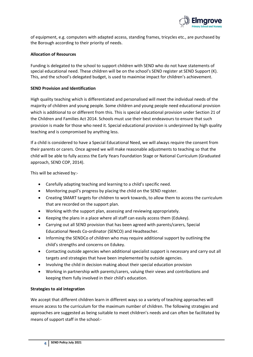

of equipment, e.g. computers with adapted access, standing frames, tricycles etc., are purchased by the Borough according to their priority of needs.

# **Allocation of Resources**

Funding is delegated to the school to support children with SEND who do not have statements of special educational need. These children will be on the school's SEND register at SEND Support (K). This, and the school's delegated budget, is used to maximise impact for children's achievement.

# **SEND Provision and Identification**

High quality teaching which is differentiated and personalised will meet the individual needs of the majority of children and young people. Some children and young people need educational provision which is additional to or different from this. This is special educational provision under Section 21 of the Children and Families Act 2014. Schools must use their best endeavours to ensure that such provision is made for those who need it. Special educational provision is underpinned by high quality teaching and is compromised by anything less.

If a child is considered to have a Special Educational Need, we will always require the consent from their parents or carers. Once agreed we will make reasonable adjustments to teaching so that the child will be able to fully access the Early Years Foundation Stage or National Curriculum (Graduated approach, SEND COP, 2014).

This will be achieved by:-

- Carefully adapting teaching and learning to a child's specific need.
- Monitoring pupil's progress by placing the child on the SEND register.
- Creating SMART targets for children to work towards, to allow them to access the curriculum that are recorded on the support plan.
- Working with the support plan, assessing and reviewing appropriately.
- Keeping the plans in a place where all staff can easily access them (Edukey).
- Carrying out all SEND provision that has been agreed with parents/carers, Special Educational Needs Co-ordinator (SENCO) and Headteacher.
- Informing the SENDCo of children who may require additional support by outlining the child's strengths and concerns on Edukey.
- Contacting outside agencies when additional specialist support is necessary and carry out all targets and strategies that have been implemented by outside agencies.
- Involving the child in decision making about their special education provision
- Working in partnership with parents/carers, valuing their views and contributions and keeping them fully involved in their child's education.

# **Strategies to aid integration**

We accept that different children learn in different ways so a variety of teaching approaches will ensure access to the curriculum for the maximum number of children. The following strategies and approaches are suggested as being suitable to meet children's needs and can often be facilitated by means of support staff in the school:-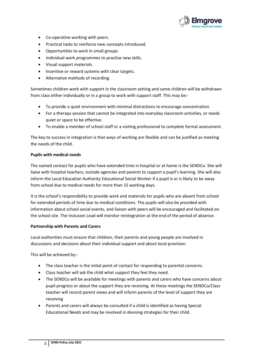

- Co-operative working with peers.
- Practical tasks to reinforce new concepts introduced.
- Opportunities to work in small groups.
- Individual work programmes to practise new skills.
- Visual support materials.
- Incentive or reward systems with clear targets.
- Alternative methods of recording.

Sometimes children work with support in the classroom setting and some children will be withdrawn from class either individually or in a group to work with support staff. This may be:-

- To provide a quiet environment with minimal distractions to encourage concentration.
- For a therapy session that cannot be integrated into everyday classroom activities, or needs quiet or space to be effective.
- To enable a member of school staff or a visiting professional to complete formal assessment.

The key to success in integration is that ways of working are flexible and can be justified as meeting the needs of the child.

# **Pupils with medical needs**

The named contact for pupils who have extended time in hospital or at home is the SENDCo. She will liaise with hospital teachers, outside agencies and parents to support a pupil's learning. She will also inform the Local Education Authority Educational Social Worker if a pupil is or is likely to be away from school due to medical needs for more than 15 working days.

It is the school's responsibility to provide work and materials for pupils who are absent from school for extended periods of time due to medical conditions. The pupils will also be provided with information about school social events, and liaison with peers will be encouraged and facilitated on the school site. The Inclusion Lead will monitor reintegration at the end of the period of absence.

# **Partnership with Parents and Carers**

Local authorities must ensure that children, their parents and young people are involved in discussions and decisions about their individual support and about local provision.

This will be achieved by:-

- The class teacher is the initial point of contact for responding to parental concerns.
- Class teacher will ask the child what support they feel they need.
- The SENDCo will be available for meetings with parents and carers who have concerns about pupil progress or about the support they are receiving. At these meetings the SENDCo/Class teacher will record parent views and will inform parents of the level of support they are receiving
- Parents and carers will always be consulted if a child is identified as having Special Educational Needs and may be involved in devising strategies for their child.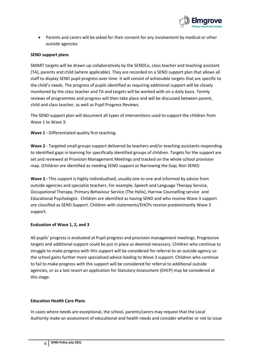

• Parents and carers will be asked for their consent for any involvement by medical or other outside agencies

# **SEND support plans**

SMART targets will be drawn up collaboratively by the SENDCo, class teacher and teaching assistant (TA), parents and child (where applicable). They are recorded on a SEND support plan that allows all staff to display SEND pupil progress over time. It will consist of achievable targets that are specific to the child's needs. The progress of pupils identified as requiring additional support will be closely monitored by the class teacher and TA and targets will be worked with on a daily basis. Termly reviews of programmes and progress will then take place and will be discussed between parent, child and class teacher, as well as Pupil Progress Reviews.

The SEND support plan will document all types of interventions used to support the children from Wave 1 to Wave 3:

**Wave 1 -** Differentiated quality first teaching.

**Wave 2** - Targeted small groups support delivered by teachers and/or teaching assistants responding to identified gaps in learning for specifically identified groups of children. Targets for the support are set and reviewed at Provision Management Meetings and tracked on the whole school provision map. (Children are identified as needing SEND support or Narrowing the Gap; Non SEND)

**Wave 3 -** This support is highly individualised, usually one to one and informed by advice from outside agencies and specialist teachers. For example; Speech and Language Therapy Service, Occupational Therapy, Primary Behaviour Service (The Helix), Harrow Counselling service and Educational Psychologist. Children are identified as having SEND and who receive Wave 3 support are classified as SEND Support. Children with statements/EHCPs receive predominantly Wave 3 support.

# **Evaluation of Wave 1, 2, and 3**

All pupils' progress is evaluated at Pupil progress and provision management meetings. Progressive targets and additional support could be put in place as deemed necessary. Children who continue to struggle to make progress with this support will be considered for referral to an outside agency so the school gains further more specialised advice leading to Wave 3 support. Children who continue to fail to make progress with this support will be considered for referral to additional outside agencies, or as a last resort an application for Statutory Assessment (EHCP) may be considered at this stage.

# **Education Health Care Plans**

In cases where needs are exceptional, the school, parents/carers may request that the Local Authority make an assessment of educational and health needs and consider whether or not to issue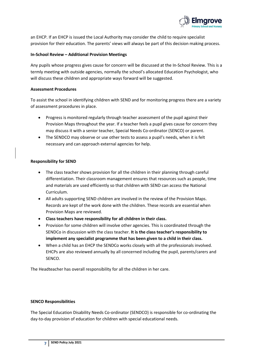

an EHCP. If an EHCP is issued the Local Authority may consider the child to require specialist provision for their education. The parents' views will always be part of this decision making process.

# **In-School Review – Additional Provision Meetings**

Any pupils whose progress gives cause for concern will be discussed at the In-School Review. This is a termly meeting with outside agencies, normally the school's allocated Education Psychologist, who will discuss these children and appropriate ways forward will be suggested.

# **Assessment Procedures**

To assist the school in identifying children with SEND and for monitoring progress there are a variety of assessment procedures in place.

- Progress is monitored regularly through teacher assessment of the pupil against their Provision Maps throughout the year. If a teacher feels a pupil gives cause for concern they may discuss it with a senior teacher, Special Needs Co-ordinator (SENCO) or parent.
- The SENDCO may observe or use other tests to assess a pupil's needs, when it is felt necessary and can approach external agencies for help.

# **Responsibility for SEND**

- The class teacher shows provision for all the children in their planning through careful differentiation. Their classroom management ensures that resources such as people, time and materials are used efficiently so that children with SEND can access the National Curriculum.
- All adults supporting SEND children are involved in the review of the Provision Maps. Records are kept of the work done with the children. These records are essential when Provision Maps are reviewed.
- **Class teachers have responsibility for all children in their class.**
- Provision for some children will involve other agencies. This is coordinated through the SENDCo in discussion with the class teacher. **It is the class teacher's responsibility to implement any specialist programme that has been given to a child in their class.**
- When a child has an EHCP the SENDCo works closely with all the professionals involved. EHCPs are also reviewed annually by all concerned including the pupil, parents/carers and SENCO.

The Headteacher has overall responsibility for all the children in her care.

# **SENCO Responsibilities**

The Special Education Disability Needs Co-ordinator (SENDCO) is responsible for co-ordinating the day-to-day provision of education for children with special educational needs.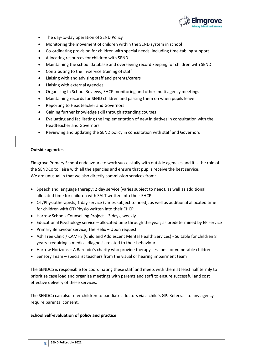

- The day-to-day operation of SEND Policy
- Monitoring the movement of children within the SEND system in school
- Co-ordinating provision for children with special needs, including time-tabling support
- Allocating resources for children with SEND
- Maintaining the school database and overseeing record keeping for children with SEND
- Contributing to the in-service training of staff
- Liaising with and advising staff and parents/carers
- Liaising with external agencies
- Organising In School Reviews, EHCP monitoring and other multi agency meetings
- Maintaining records for SEND children and passing them on when pupils leave
- Reporting to Headteacher and Governors
- Gaining further knowledge skill through attending courses
- Evaluating and facilitating the implementation of new initiatives in consultation with the Headteacher and Governors
- Reviewing and updating the SEND policy in consultation with staff and Governors

# **Outside agencies**

Elmgrove Primary School endeavours to work successfully with outside agencies and it is the role of the SENDCo to liaise with all the agencies and ensure that pupils receive the best service. We are unusual in that we also directly commission services from:

- Speech and language therapy; 2 day service (varies subject to need), as well as additional allocated time for children with SALT written into their EHCP
- OT/Physiotherapists; 1 day service (varies subject to need), as well as additional allocated time for children with OT/Physio written into their EHCP
- Harrow Schools Counselling Project 3 days, weekly
- Educational Psychology service allocated time through the year; as predetermined by EP service
- Primary Behaviour service; The Helix Upon request
- Ash Tree Clinic / CAMHS (Child and Adolescent Mental Health Services) Suitable for children 8 years+ requiring a medical diagnosis related to their behaviour
- Harrow Horizons A Barnado's charity who provide therapy sessions for vulnerable children
- Sensory Team specialist teachers from the visual or hearing impairment team

The SENDCo is responsible for coordinating these staff and meets with them at least half termly to prioritise case load and organise meetings with parents and staff to ensure successful and cost effective delivery of these services.

The SENDCo can also refer children to paediatric doctors via a child's GP. Referrals to any agency require parental consent.

# **School Self-evaluation of policy and practice**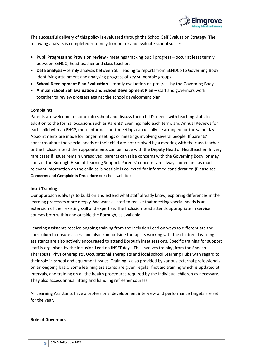

The successful delivery of this policy is evaluated through the School Self Evaluation Strategy. The following analysis is completed routinely to monitor and evaluate school success.

- **Pupil Progress and Provision review** meetings tracking pupil progress occur at least termly between SENCO, head teacher and class teachers.
- **Data analysis** termly analysis between SLT leading to reports from SENDCo to Governing Body identifying attainment and analysing progress of key vulnerable groups.
- **School Development Plan Evaluation** termly evaluation of progress by the Governing Body
- Annual School Self Evaluation and School Development Plan staff and governors work together to review progress against the school development plan.

# **Complaints**

Parents are welcome to come into school and discuss their child's needs with teaching staff. In addition to the formal occasions such as Parents' Evenings held each term, and Annual Reviews for each child with an EHCP, more informal short meetings can usually be arranged for the same day. Appointments are made for longer meetings or meetings involving several people. If parents' concerns about the special needs of their child are not resolved by a meeting with the class teacher or the Inclusion Lead then appointments can be made with the Deputy Head or Headteacher. In very rare cases if issues remain unresolved, parents can raise concerns with the Governing Body, or may contact the Borough Head of Learning Support. Parents' concerns are always noted and as much relevant information on the child as is possible is collected for informed consideration (Please see **Concerns and Complaints Procedure** on school website)

# **Inset Training**

Our approach is always to build on and extend what staff already know, exploring differences in the learning processes more deeply. We want all staff to realise that meeting special needs is an extension of their existing skill and expertise. The Inclusion Lead attends appropriate in service courses both within and outside the Borough, as available.

Learning assistants receive ongoing training from the Inclusion Lead on ways to differentiate the curriculum to ensure access and also from outside therapists working with the children. Learning assistants are also actively encouraged to attend Borough inset sessions. Specific training for support staff is organised by the Inclusion Lead on INSET days. This involves training from the Speech Therapists, Physiotherapists, Occupational Therapists and local school Learning Hubs with regard to their role in school and equipment issues. Training is also provided by various external professionals on an ongoing basis. Some learning assistants are given regular first aid training which is updated at intervals, and training on all the health procedures required by the individual children as necessary. They also access annual lifting and handling refresher courses.

All Learning Assistants have a professional development interview and performance targets are set for the year.

# **Role of Governors**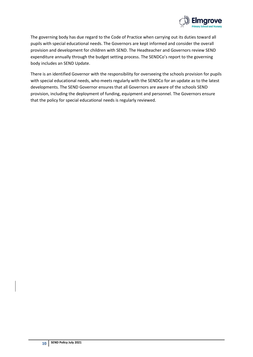

The governing body has due regard to the Code of Practice when carrying out its duties toward all pupils with special educational needs. The Governors are kept informed and consider the overall provision and development for children with SEND. The Headteacher and Governors review SEND expenditure annually through the budget setting process. The SENDCo's report to the governing body includes an SEND Update.

There is an identified Governor with the responsibility for overseeing the schools provision for pupils with special educational needs, who meets regularly with the SENDCo for an update as to the latest developments. The SEND Governor ensures that all Governors are aware of the schools SEND provision, including the deployment of funding, equipment and personnel. The Governors ensure that the policy for special educational needs is regularly reviewed.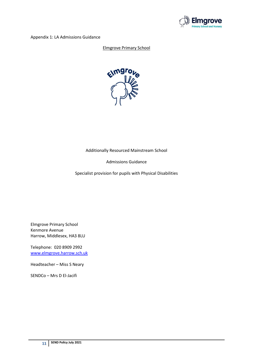

Appendix 1: LA Admissions Guidance

# Elmgrove Primary School



# Additionally Resourced Mainstream School

# Admissions Guidance

Specialist provision for pupils with Physical Disabilities

Elmgrove Primary School Kenmore Avenue Harrow, Middlesex, HA3 8LU

Telephone: 020 8909 2992 [www.elmgrove.harrow.sch.uk](http://www.elmgrove.harrow.sch.uk/)

Headteacher – Miss S Neary

SENDCo – Mrs D El-Jacifi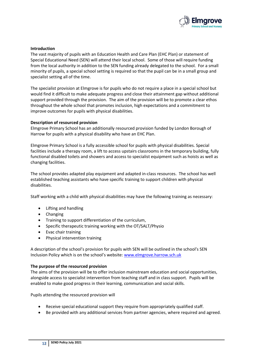

# **Introduction**

The vast majority of pupils with an Education Health and Care Plan (EHC Plan) or statement of Special Educational Need (SEN) will attend their local school. Some of those will require funding from the local authority in addition to the SEN funding already delegated to the school. For a small minority of pupils, a special school setting is required so that the pupil can be in a small group and specialist setting all of the time.

The specialist provision at Elmgrove is for pupils who do not require a place in a special school but would find it difficult to make adequate progress and close their attainment gap without additional support provided through the provision. The aim of the provision will be to promote a clear ethos throughout the whole school that promotes inclusion, high expectations and a commitment to improve outcomes for pupils with physical disabilities.

# **Description of resourced provision**

Elmgrove Primary School has an additionally resourced provision funded by London Borough of Harrow for pupils with a physical disability who have an EHC Plan.

Elmgrove Primary School is a fully accessible school for pupils with physical disabilities. Special facilities include a therapy room, a lift to access upstairs classrooms in the temporary building, fully functional disabled toilets and showers and access to specialist equipment such as hoists as well as changing facilities.

The school provides adapted play equipment and adapted in-class resources. The school has well established teaching assistants who have specific training to support children with physical disabilities.

Staff working with a child with physical disabilities may have the following training as necessary:

- Lifting and handling
- Changing
- Training to support differentiation of the curriculum,
- Specific therapeutic training working with the OT/SALT/Physio
- Evac chair training
- Physical intervention training

A description of the school's provision for pupils with SEN will be outlined in the school's SEN Inclusion Policy which is on the school's website: [www.elmgrove.harrow.sch.uk](http://www.elmgrove.harrow.sch.uk/)

# **The purpose of the resourced provision**

The aims of the provision will be to offer inclusion mainstream education and social opportunities, alongside access to specialist intervention from teaching staff and in class support. Pupils will be enabled to make good progress in their learning, communication and social skills.

Pupils attending the resourced provision will

- Receive special educational support they require from appropriately qualified staff.
- Be provided with any additional services from partner agencies, where required and agreed.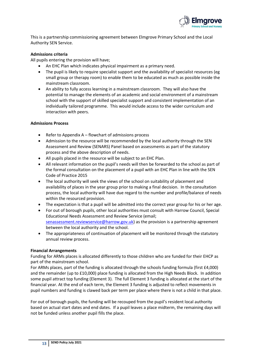

This is a partnership commissioning agreement between Elmgrove Primary School and the Local Authority SEN Service.

# **Admissions criteria**

All pupils entering the provision will have;

- An EHC Plan which indicates physical impairment as a primary need.
- The pupil is likely to require specialist support and the availability of specialist resources (eg small group or therapy room) to enable them to be educated as much as possible inside the mainstream classroom.
- An ability to fully access learning in a mainstream classroom. They will also have the potential to manage the elements of an academic and social environment of a mainstream school with the support of skilled specialist support and consistent implementation of an individually tailored programme. This would include access to the wider curriculum and interaction with peers.

# **Admissions Process**

- Refer to Appendix A flowchart of admissions process
- Admission to the resource will be recommended by the local authority through the SEN Assessment and Review (SENARS) Panel based on assessments as part of the statutory process and the above description of needs.
- All pupils placed in the resource will be subject to an EHC Plan.
- All relevant information on the pupil's needs will then be forwarded to the school as part of the formal consultation on the placement of a pupil with an EHC Plan in line with the SEN Code of Practice 2015
- The local authority will seek the views of the school on suitability of placement and availability of places in the year group prior to making a final decision. In the consultation process, the local authority will have due regard to the number and profile/balance of needs within the resourced provision.
- The expectation is that a pupil will be admitted into the correct year group for his or her age.
- For out of borough pupils, other local authorities must consult with Harrow Council, Special Educational Needs Assessment and Review Service (email; [senassessment.reviewservice@harrow.gov.uk\)](mailto:senassessment.reviewservice@harrow.gov.uk) as the provision is a partnership agreement between the local authority and the school.
- The appropriateness of continuation of placement will be monitored through the statutory annual review process.

# **Financial Arrangements**

Funding for ARMs places is allocated differently to those children who are funded for their EHCP as part of the mainstream school.

For ARMs places, part of the funding is allocated through the schools funding formula (first £4,000) and the remainder (up to £10,000) place funding is allocated from the High Needs Block. In addition some pupil attract top funding (Element 3). The full Element 3 funding is allocated at the start of the financial year. At the end of each term, the Element 3 funding is adjusted to reflect movements in pupil numbers and funding is clawed back per term per place where there is not a child in that place.

For out of borough pupils, the funding will be recouped from the pupil's resident local authority based on actual start dates and end dates. If a pupil leaves a place midterm, the remaining days will not be funded unless another pupil fills the place.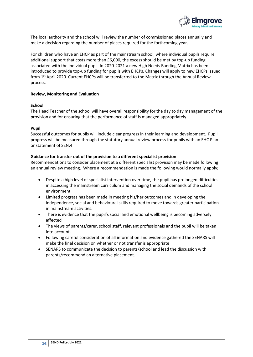

The local authority and the school will review the number of commissioned places annually and make a decision regarding the number of places required for the forthcoming year.

For children who have an EHCP as part of the mainstream school, where individual pupils require additional support that costs more than £6,000, the excess should be met by top-up funding associated with the individual pupil. In 2020-2021 a new High Needs Banding Matrix has been introduced to provide top-up funding for pupils with EHCPs. Changes will apply to new EHCPs issued from 1<sup>st</sup> April 2020. Current EHCPs will be transferred to the Matrix through the Annual Review process.

# **Review, Monitoring and Evaluation**

# **School**

The Head Teacher of the school will have overall responsibility for the day to day management of the provision and for ensuring that the performance of staff is managed appropriately.

# **Pupil**

Successful outcomes for pupils will include clear progress in their learning and development. Pupil progress will be measured through the statutory annual review process for pupils with an EHC Plan or statement of SEN.4

# **Guidance for transfer out of the provision to a different specialist provision**

Recommendations to consider placement at a different specialist provision may be made following an annual review meeting. Where a recommendation is made the following would normally apply;

- Despite a high level of specialist intervention over time, the pupil has prolonged difficulties in accessing the mainstream curriculum and managing the social demands of the school environment.
- Limited progress has been made in meeting his/her outcomes and in developing the independence, social and behavioural skills required to move towards greater participation in mainstream activities.
- There is evidence that the pupil's social and emotional wellbeing is becoming adversely affected
- The views of parents/carer, school staff, relevant professionals and the pupil will be taken into account.
- Following careful consideration of all information and evidence gathered the SENARS will make the final decision on whether or not transfer is appropriate
- SENARS to communicate the decision to parents/school and lead the discussion with parents/recommend an alternative placement.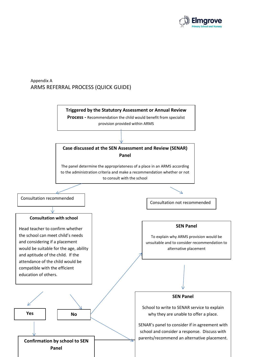

# Appendix A ARMS REFERRAL PROCESS (QUICK GUIDE)